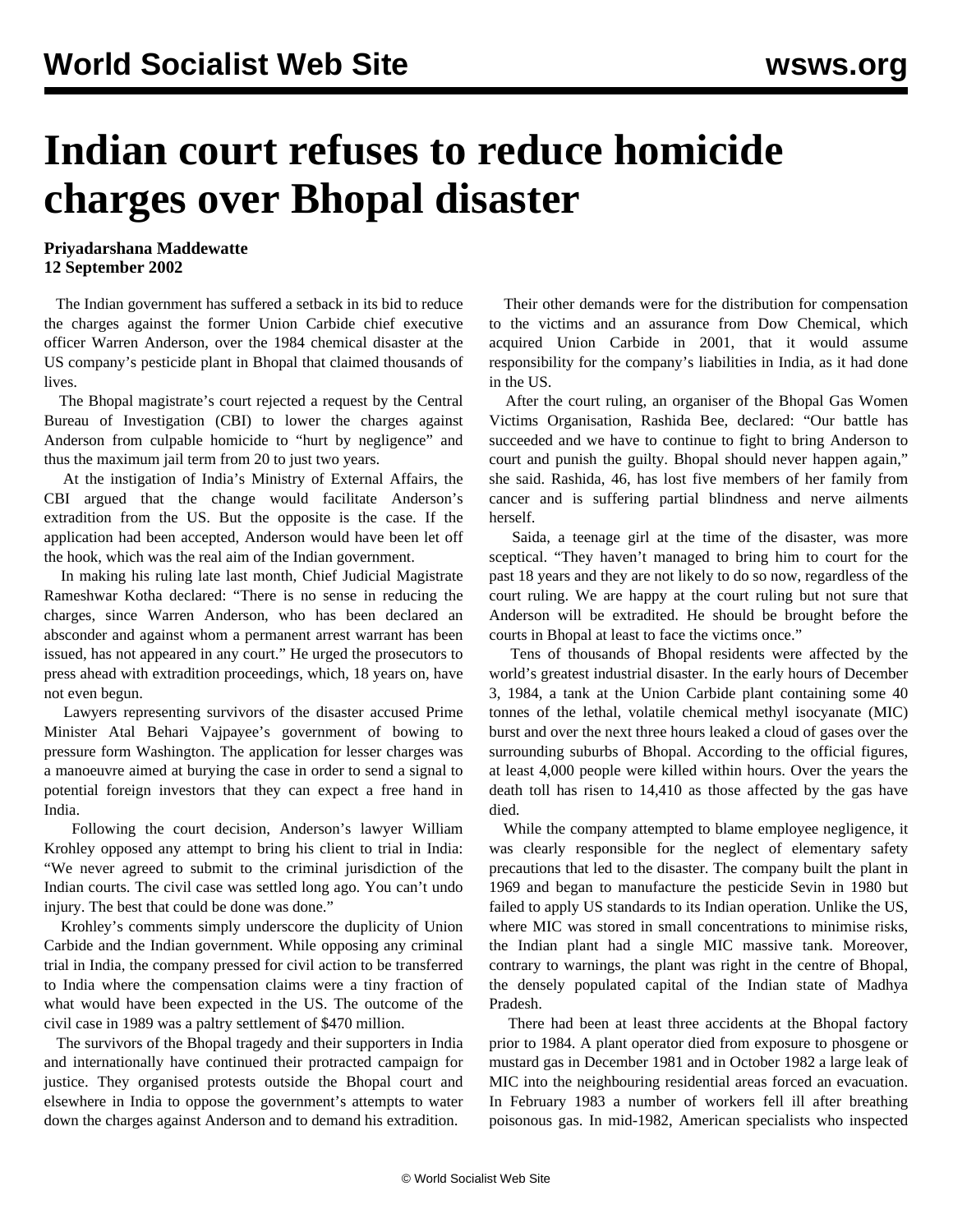## **Indian court refuses to reduce homicide charges over Bhopal disaster**

## **Priyadarshana Maddewatte 12 September 2002**

 The Indian government has suffered a setback in its bid to reduce the charges against the former Union Carbide chief executive officer Warren Anderson, over the 1984 chemical disaster at the US company's pesticide plant in Bhopal that claimed thousands of lives.

 The Bhopal magistrate's court rejected a request by the Central Bureau of Investigation (CBI) to lower the charges against Anderson from culpable homicide to "hurt by negligence" and thus the maximum jail term from 20 to just two years.

 At the instigation of India's Ministry of External Affairs, the CBI argued that the change would facilitate Anderson's extradition from the US. But the opposite is the case. If the application had been accepted, Anderson would have been let off the hook, which was the real aim of the Indian government.

 In making his ruling late last month, Chief Judicial Magistrate Rameshwar Kotha declared: "There is no sense in reducing the charges, since Warren Anderson, who has been declared an absconder and against whom a permanent arrest warrant has been issued, has not appeared in any court." He urged the prosecutors to press ahead with extradition proceedings, which, 18 years on, have not even begun.

 Lawyers representing survivors of the disaster accused Prime Minister Atal Behari Vajpayee's government of bowing to pressure form Washington. The application for lesser charges was a manoeuvre aimed at burying the case in order to send a signal to potential foreign investors that they can expect a free hand in India.

 Following the court decision, Anderson's lawyer William Krohley opposed any attempt to bring his client to trial in India: "We never agreed to submit to the criminal jurisdiction of the Indian courts. The civil case was settled long ago. You can't undo injury. The best that could be done was done."

 Krohley's comments simply underscore the duplicity of Union Carbide and the Indian government. While opposing any criminal trial in India, the company pressed for civil action to be transferred to India where the compensation claims were a tiny fraction of what would have been expected in the US. The outcome of the civil case in 1989 was a paltry settlement of \$470 million.

 The survivors of the Bhopal tragedy and their supporters in India and internationally have continued their protracted campaign for justice. They organised protests outside the Bhopal court and elsewhere in India to oppose the government's attempts to water down the charges against Anderson and to demand his extradition.

 Their other demands were for the distribution for compensation to the victims and an assurance from Dow Chemical, which acquired Union Carbide in 2001, that it would assume responsibility for the company's liabilities in India, as it had done in the US.

 After the court ruling, an organiser of the Bhopal Gas Women Victims Organisation, Rashida Bee, declared: "Our battle has succeeded and we have to continue to fight to bring Anderson to court and punish the guilty. Bhopal should never happen again," she said. Rashida, 46, has lost five members of her family from cancer and is suffering partial blindness and nerve ailments herself.

 Saida, a teenage girl at the time of the disaster, was more sceptical. "They haven't managed to bring him to court for the past 18 years and they are not likely to do so now, regardless of the court ruling. We are happy at the court ruling but not sure that Anderson will be extradited. He should be brought before the courts in Bhopal at least to face the victims once."

 Tens of thousands of Bhopal residents were affected by the world's greatest industrial disaster. In the early hours of December 3, 1984, a tank at the Union Carbide plant containing some 40 tonnes of the lethal, volatile chemical methyl isocyanate (MIC) burst and over the next three hours leaked a cloud of gases over the surrounding suburbs of Bhopal. According to the official figures, at least 4,000 people were killed within hours. Over the years the death toll has risen to 14,410 as those affected by the gas have died.

 While the company attempted to blame employee negligence, it was clearly responsible for the neglect of elementary safety precautions that led to the disaster. The company built the plant in 1969 and began to manufacture the pesticide Sevin in 1980 but failed to apply US standards to its Indian operation. Unlike the US, where MIC was stored in small concentrations to minimise risks, the Indian plant had a single MIC massive tank. Moreover, contrary to warnings, the plant was right in the centre of Bhopal, the densely populated capital of the Indian state of Madhya Pradesh.

 There had been at least three accidents at the Bhopal factory prior to 1984. A plant operator died from exposure to phosgene or mustard gas in December 1981 and in October 1982 a large leak of MIC into the neighbouring residential areas forced an evacuation. In February 1983 a number of workers fell ill after breathing poisonous gas. In mid-1982, American specialists who inspected